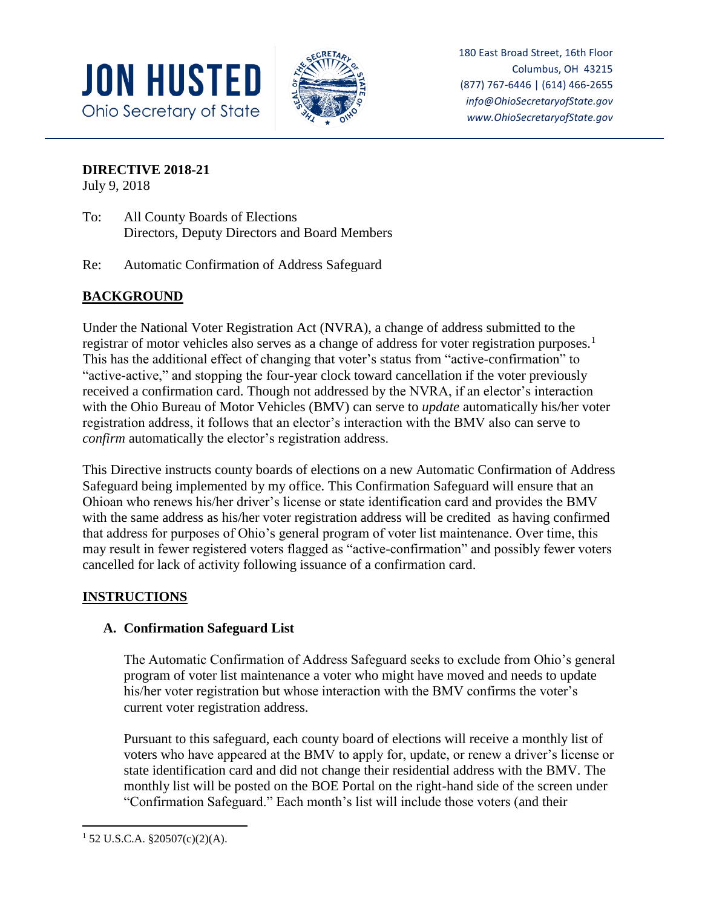



180 East Broad Street, 16th Floor Columbus, OH 43215 (877) 767-6446 | (614) 466-2655 *info@OhioSecretaryofState.gov www.OhioSecretaryofState.gov*

**DIRECTIVE 2018-21**

July 9, 2018

- To: All County Boards of Elections Directors, Deputy Directors and Board Members
- Re: Automatic Confirmation of Address Safeguard

# **BACKGROUND**

Under the National Voter Registration Act (NVRA), a change of address submitted to the registrar of motor vehicles also serves as a change of address for voter registration purposes.<sup>1</sup> This has the additional effect of changing that voter's status from "active-confirmation" to "active-active," and stopping the four-year clock toward cancellation if the voter previously received a confirmation card. Though not addressed by the NVRA, if an elector's interaction with the Ohio Bureau of Motor Vehicles (BMV) can serve to *update* automatically his/her voter registration address, it follows that an elector's interaction with the BMV also can serve to *confirm* automatically the elector's registration address.

This Directive instructs county boards of elections on a new Automatic Confirmation of Address Safeguard being implemented by my office. This Confirmation Safeguard will ensure that an Ohioan who renews his/her driver's license or state identification card and provides the BMV with the same address as his/her voter registration address will be credited as having confirmed that address for purposes of Ohio's general program of voter list maintenance. Over time, this may result in fewer registered voters flagged as "active-confirmation" and possibly fewer voters cancelled for lack of activity following issuance of a confirmation card.

## **INSTRUCTIONS**

## **A. Confirmation Safeguard List**

The Automatic Confirmation of Address Safeguard seeks to exclude from Ohio's general program of voter list maintenance a voter who might have moved and needs to update his/her voter registration but whose interaction with the BMV confirms the voter's current voter registration address.

Pursuant to this safeguard, each county board of elections will receive a monthly list of voters who have appeared at the BMV to apply for, update, or renew a driver's license or state identification card and did not change their residential address with the BMV. The monthly list will be posted on the BOE Portal on the right-hand side of the screen under "Confirmation Safeguard." Each month's list will include those voters (and their

 $\overline{\phantom{a}}$  $1\,52$  U.S.C.A. §20507(c)(2)(A).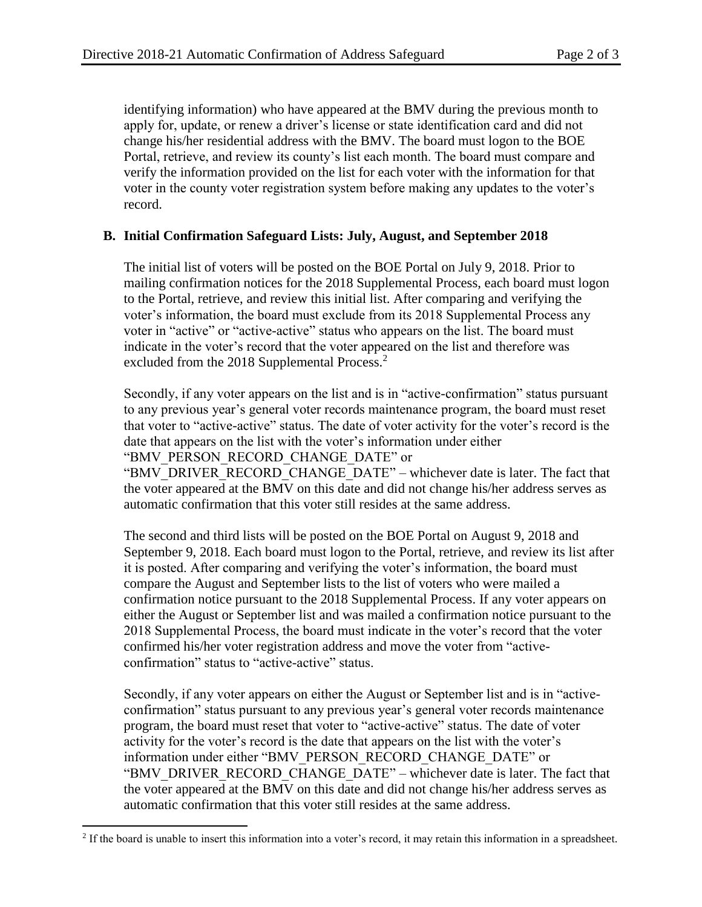identifying information) who have appeared at the BMV during the previous month to apply for, update, or renew a driver's license or state identification card and did not change his/her residential address with the BMV. The board must logon to the BOE Portal, retrieve, and review its county's list each month. The board must compare and verify the information provided on the list for each voter with the information for that voter in the county voter registration system before making any updates to the voter's record.

#### **B. Initial Confirmation Safeguard Lists: July, August, and September 2018**

The initial list of voters will be posted on the BOE Portal on July 9, 2018. Prior to mailing confirmation notices for the 2018 Supplemental Process, each board must logon to the Portal, retrieve, and review this initial list. After comparing and verifying the voter's information, the board must exclude from its 2018 Supplemental Process any voter in "active" or "active-active" status who appears on the list. The board must indicate in the voter's record that the voter appeared on the list and therefore was excluded from the 2018 Supplemental Process.<sup>2</sup>

Secondly, if any voter appears on the list and is in "active-confirmation" status pursuant to any previous year's general voter records maintenance program, the board must reset that voter to "active-active" status. The date of voter activity for the voter's record is the date that appears on the list with the voter's information under either "BMV\_PERSON\_RECORD\_CHANGE\_DATE" or

"BMV\_DRIVER\_RECORD\_CHANGE\_DATE" – whichever date is later. The fact that the voter appeared at the BMV on this date and did not change his/her address serves as automatic confirmation that this voter still resides at the same address.

The second and third lists will be posted on the BOE Portal on August 9, 2018 and September 9, 2018. Each board must logon to the Portal, retrieve, and review its list after it is posted. After comparing and verifying the voter's information, the board must compare the August and September lists to the list of voters who were mailed a confirmation notice pursuant to the 2018 Supplemental Process. If any voter appears on either the August or September list and was mailed a confirmation notice pursuant to the 2018 Supplemental Process, the board must indicate in the voter's record that the voter confirmed his/her voter registration address and move the voter from "activeconfirmation" status to "active-active" status.

Secondly, if any voter appears on either the August or September list and is in "activeconfirmation" status pursuant to any previous year's general voter records maintenance program, the board must reset that voter to "active-active" status. The date of voter activity for the voter's record is the date that appears on the list with the voter's information under either "BMV\_PERSON\_RECORD\_CHANGE\_DATE" or "BMV\_DRIVER\_RECORD\_CHANGE\_DATE" – whichever date is later. The fact that the voter appeared at the BMV on this date and did not change his/her address serves as automatic confirmation that this voter still resides at the same address.

 $\overline{\phantom{a}}$ <sup>2</sup> If the board is unable to insert this information into a voter's record, it may retain this information in a spreadsheet.